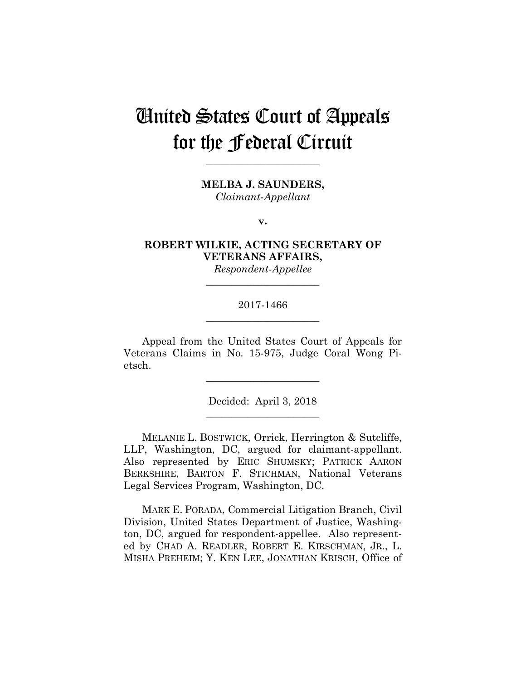# United States Court of Appeals for the Federal Circuit

**MELBA J. SAUNDERS,** *Claimant-Appellant*

**\_\_\_\_\_\_\_\_\_\_\_\_\_\_\_\_\_\_\_\_\_\_** 

**v.**

**ROBERT WILKIE, ACTING SECRETARY OF VETERANS AFFAIRS,**

*Respondent-Appellee* **\_\_\_\_\_\_\_\_\_\_\_\_\_\_\_\_\_\_\_\_\_\_** 

# 2017-1466 **\_\_\_\_\_\_\_\_\_\_\_\_\_\_\_\_\_\_\_\_\_\_**

Appeal from the United States Court of Appeals for Veterans Claims in No. 15-975, Judge Coral Wong Pietsch.

**\_\_\_\_\_\_\_\_\_\_\_\_\_\_\_\_\_\_\_\_\_\_** 

Decided: April 3, 2018 **\_\_\_\_\_\_\_\_\_\_\_\_\_\_\_\_\_\_\_\_\_\_** 

 MELANIE L. BOSTWICK, Orrick, Herrington & Sutcliffe, LLP, Washington, DC, argued for claimant-appellant. Also represented by ERIC SHUMSKY; PATRICK AARON BERKSHIRE, BARTON F. STICHMAN, National Veterans Legal Services Program, Washington, DC.

 MARK E. PORADA, Commercial Litigation Branch, Civil Division, United States Department of Justice, Washington, DC, argued for respondent-appellee. Also represented by CHAD A. READLER, ROBERT E. KIRSCHMAN, JR., L. MISHA PREHEIM; Y. KEN LEE, JONATHAN KRISCH, Office of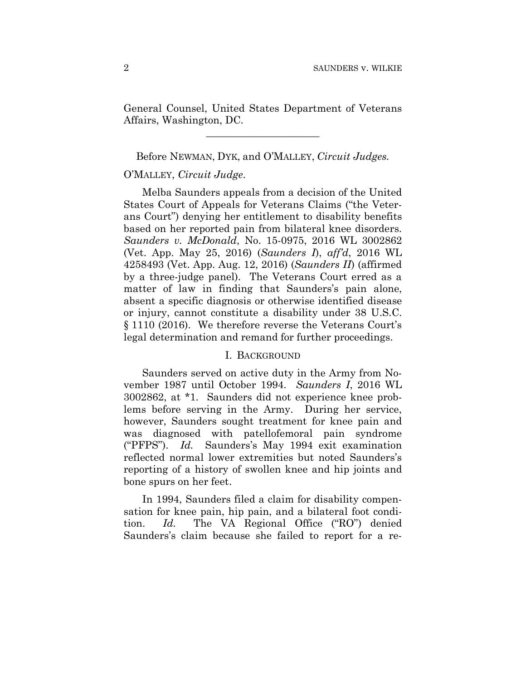General Counsel, United States Department of Veterans Affairs, Washington, DC.

**\_\_\_\_\_\_\_\_\_\_\_\_\_\_\_\_\_\_\_\_\_\_** 

### Before NEWMAN, DYK, and O'MALLEY, *Circuit Judges.*

# O'MALLEY, *Circuit Judge*.

Melba Saunders appeals from a decision of the United States Court of Appeals for Veterans Claims ("the Veterans Court") denying her entitlement to disability benefits based on her reported pain from bilateral knee disorders. *Saunders v. McDonald*, No. 15-0975, 2016 WL 3002862 (Vet. App. May 25, 2016) (*Saunders I*), *aff'd*, 2016 WL 4258493 (Vet. App. Aug. 12, 2016) (*Saunders II*) (affirmed by a three-judge panel). The Veterans Court erred as a matter of law in finding that Saunders's pain alone, absent a specific diagnosis or otherwise identified disease or injury, cannot constitute a disability under 38 U.S.C. § 1110 (2016). We therefore reverse the Veterans Court's legal determination and remand for further proceedings.

## I. BACKGROUND

Saunders served on active duty in the Army from November 1987 until October 1994. *Saunders I*, 2016 WL 3002862, at \*1. Saunders did not experience knee problems before serving in the Army. During her service, however, Saunders sought treatment for knee pain and was diagnosed with patellofemoral pain syndrome ("PFPS"). *Id.* Saunders's May 1994 exit examination reflected normal lower extremities but noted Saunders's reporting of a history of swollen knee and hip joints and bone spurs on her feet.

In 1994, Saunders filed a claim for disability compensation for knee pain, hip pain, and a bilateral foot condition. *Id.* The VA Regional Office ("RO") denied Saunders's claim because she failed to report for a re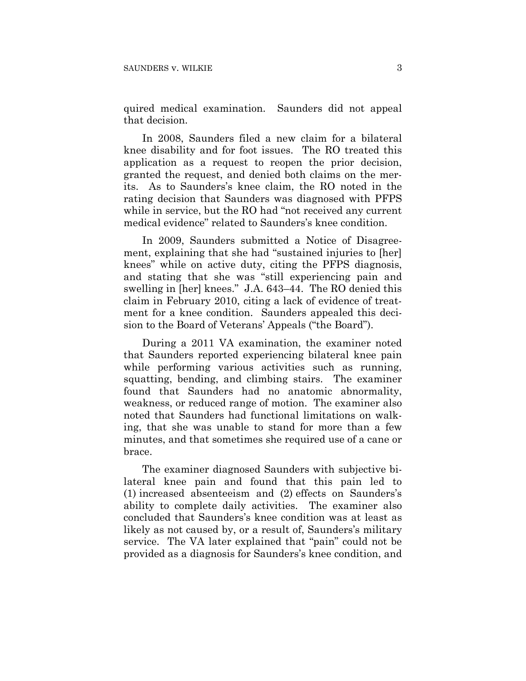quired medical examination. Saunders did not appeal that decision.

In 2008, Saunders filed a new claim for a bilateral knee disability and for foot issues. The RO treated this application as a request to reopen the prior decision, granted the request, and denied both claims on the merits. As to Saunders's knee claim, the RO noted in the rating decision that Saunders was diagnosed with PFPS while in service, but the RO had "not received any current medical evidence" related to Saunders's knee condition.

In 2009, Saunders submitted a Notice of Disagreement, explaining that she had "sustained injuries to [her] knees" while on active duty, citing the PFPS diagnosis, and stating that she was "still experiencing pain and swelling in [her] knees." J.A. 643–44. The RO denied this claim in February 2010, citing a lack of evidence of treatment for a knee condition. Saunders appealed this decision to the Board of Veterans' Appeals ("the Board").

During a 2011 VA examination, the examiner noted that Saunders reported experiencing bilateral knee pain while performing various activities such as running, squatting, bending, and climbing stairs. The examiner found that Saunders had no anatomic abnormality, weakness, or reduced range of motion. The examiner also noted that Saunders had functional limitations on walking, that she was unable to stand for more than a few minutes, and that sometimes she required use of a cane or brace.

The examiner diagnosed Saunders with subjective bilateral knee pain and found that this pain led to (1) increased absenteeism and (2) effects on Saunders's ability to complete daily activities. The examiner also concluded that Saunders's knee condition was at least as likely as not caused by, or a result of, Saunders's military service. The VA later explained that "pain" could not be provided as a diagnosis for Saunders's knee condition, and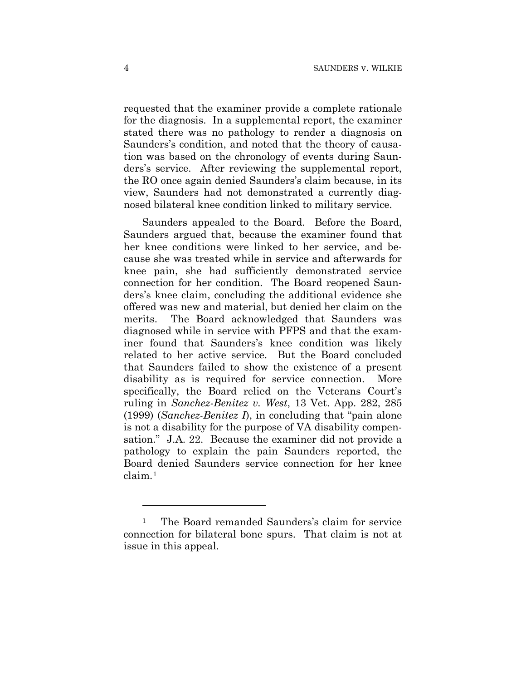requested that the examiner provide a complete rationale for the diagnosis. In a supplemental report, the examiner stated there was no pathology to render a diagnosis on Saunders's condition, and noted that the theory of causation was based on the chronology of events during Saunders's service. After reviewing the supplemental report, the RO once again denied Saunders's claim because, in its view, Saunders had not demonstrated a currently diagnosed bilateral knee condition linked to military service.

Saunders appealed to the Board. Before the Board, Saunders argued that, because the examiner found that her knee conditions were linked to her service, and because she was treated while in service and afterwards for knee pain, she had sufficiently demonstrated service connection for her condition. The Board reopened Saunders's knee claim, concluding the additional evidence she offered was new and material, but denied her claim on the merits. The Board acknowledged that Saunders was diagnosed while in service with PFPS and that the examiner found that Saunders's knee condition was likely related to her active service. But the Board concluded that Saunders failed to show the existence of a present disability as is required for service connection. More specifically, the Board relied on the Veterans Court's ruling in *Sanchez-Benitez v. West*, 13 Vet. App. 282, 285 (1999) (*Sanchez-Benitez I*), in concluding that "pain alone is not a disability for the purpose of VA disability compensation." J.A. 22. Because the examiner did not provide a pathology to explain the pain Saunders reported, the Board denied Saunders service connection for her knee claim.1

<u>.</u>

<sup>1</sup> The Board remanded Saunders's claim for service connection for bilateral bone spurs. That claim is not at issue in this appeal.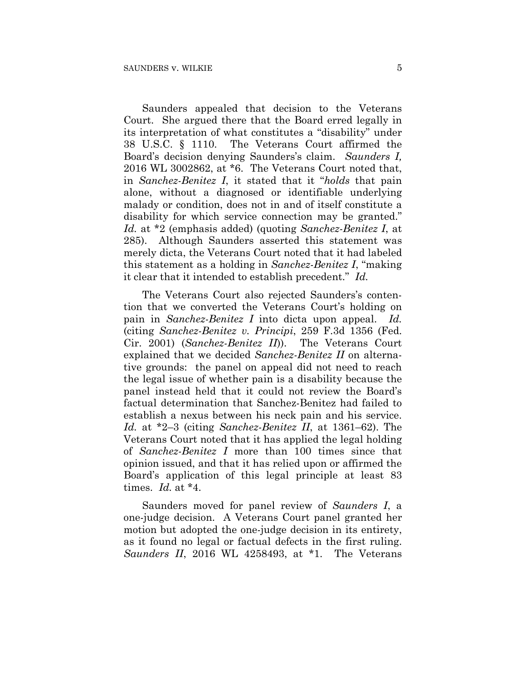Saunders appealed that decision to the Veterans Court. She argued there that the Board erred legally in its interpretation of what constitutes a "disability" under 38 U.S.C. § 1110. The Veterans Court affirmed the Board's decision denying Saunders's claim. *Saunders I,* 2016 WL 3002862, at \*6. The Veterans Court noted that, in *Sanchez-Benitez I*, it stated that it "*holds* that pain alone, without a diagnosed or identifiable underlying malady or condition, does not in and of itself constitute a disability for which service connection may be granted." *Id.* at \*2 (emphasis added) (quoting *Sanchez-Benitez I*, at 285). Although Saunders asserted this statement was merely dicta, the Veterans Court noted that it had labeled this statement as a holding in *Sanchez-Benitez I*, "making it clear that it intended to establish precedent." *Id.*

The Veterans Court also rejected Saunders's contention that we converted the Veterans Court's holding on pain in *Sanchez-Benitez I* into dicta upon appeal. *Id.* (citing *Sanchez-Benitez v. Principi*, 259 F.3d 1356 (Fed. Cir. 2001) (*Sanchez-Benitez II*)). The Veterans Court explained that we decided *Sanchez-Benitez II* on alternative grounds: the panel on appeal did not need to reach the legal issue of whether pain is a disability because the panel instead held that it could not review the Board's factual determination that Sanchez-Benitez had failed to establish a nexus between his neck pain and his service. *Id.* at \*2–3 (citing *Sanchez-Benitez II*, at 1361–62). The Veterans Court noted that it has applied the legal holding of *Sanchez-Benitez I* more than 100 times since that opinion issued, and that it has relied upon or affirmed the Board's application of this legal principle at least 83 times. *Id.* at \*4.

Saunders moved for panel review of *Saunders I*, a one-judge decision. A Veterans Court panel granted her motion but adopted the one-judge decision in its entirety, as it found no legal or factual defects in the first ruling. *Saunders II*, 2016 WL 4258493, at \*1. The Veterans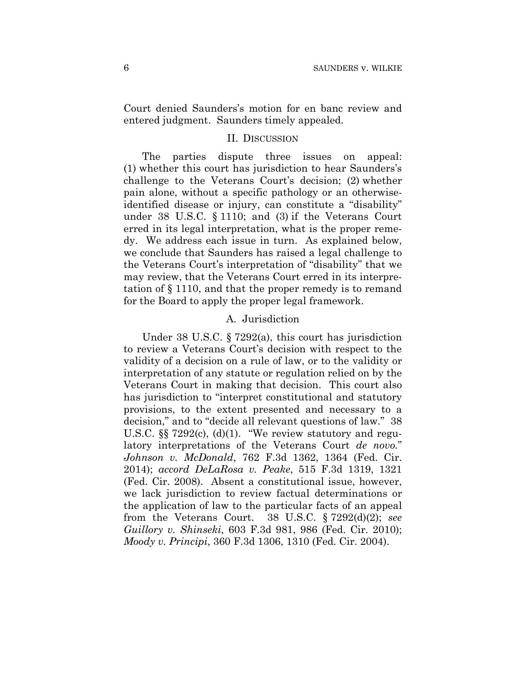Court denied Saunders's motion for en banc review and entered judgment. Saunders timely appealed.

#### II. DISCUSSION

The parties dispute three issues on appeal: (1) whether this court has jurisdiction to hear Saunders's challenge to the Veterans Court's decision; (2) whether pain alone, without a specific pathology or an otherwiseidentified disease or injury, can constitute a "disability" under 38 U.S.C. § 1110; and (3) if the Veterans Court erred in its legal interpretation, what is the proper remedy. We address each issue in turn. As explained below, we conclude that Saunders has raised a legal challenge to the Veterans Court's interpretation of "disability" that we may review, that the Veterans Court erred in its interpretation of § 1110, and that the proper remedy is to remand for the Board to apply the proper legal framework.

## A. Jurisdiction

Under 38 U.S.C. § 7292(a), this court has jurisdiction to review a Veterans Court's decision with respect to the validity of a decision on a rule of law, or to the validity or interpretation of any statute or regulation relied on by the Veterans Court in making that decision. This court also has jurisdiction to "interpret constitutional and statutory provisions, to the extent presented and necessary to a decision," and to "decide all relevant questions of law." 38 U.S.C. §§ 7292(c), (d)(1). "We review statutory and regulatory interpretations of the Veterans Court *de novo.*" *Johnson v. McDonald*, 762 F.3d 1362, 1364 (Fed. Cir. 2014); *accord DeLaRosa v. Peake*, 515 F.3d 1319, 1321 (Fed. Cir. 2008). Absent a constitutional issue, however, we lack jurisdiction to review factual determinations or the application of law to the particular facts of an appeal from the Veterans Court. 38 U.S.C. § 7292(d)(2); *see Guillory v. Shinseki*, 603 F.3d 981, 986 (Fed. Cir. 2010); *Moody v. Principi*, 360 F.3d 1306, 1310 (Fed. Cir. 2004).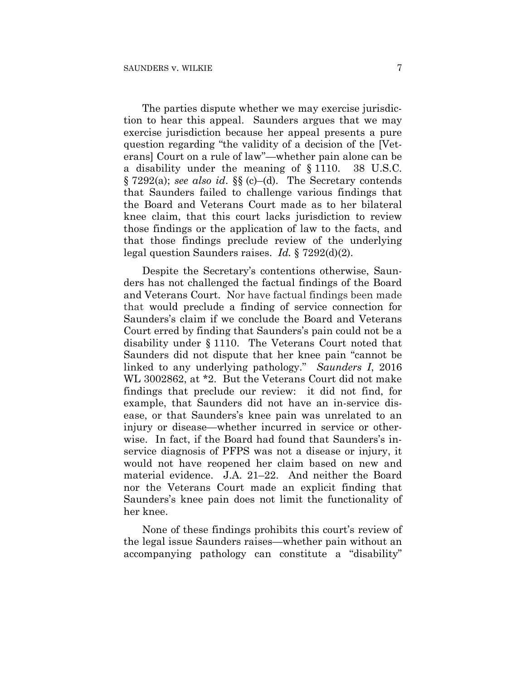The parties dispute whether we may exercise jurisdiction to hear this appeal. Saunders argues that we may exercise jurisdiction because her appeal presents a pure question regarding "the validity of a decision of the [Veterans] Court on a rule of law"—whether pain alone can be a disability under the meaning of § 1110. 38 U.S.C. § 7292(a); *see also id*. §§ (c)–(d). The Secretary contends that Saunders failed to challenge various findings that the Board and Veterans Court made as to her bilateral knee claim, that this court lacks jurisdiction to review those findings or the application of law to the facts, and that those findings preclude review of the underlying legal question Saunders raises. *Id.* § 7292(d)(2).

Despite the Secretary's contentions otherwise, Saunders has not challenged the factual findings of the Board and Veterans Court. Nor have factual findings been made that would preclude a finding of service connection for Saunders's claim if we conclude the Board and Veterans Court erred by finding that Saunders's pain could not be a disability under § 1110. The Veterans Court noted that Saunders did not dispute that her knee pain "cannot be linked to any underlying pathology." *Saunders I*, 2016 WL 3002862, at \*2. But the Veterans Court did not make findings that preclude our review: it did not find, for example, that Saunders did not have an in-service disease, or that Saunders's knee pain was unrelated to an injury or disease—whether incurred in service or otherwise. In fact, if the Board had found that Saunders's inservice diagnosis of PFPS was not a disease or injury, it would not have reopened her claim based on new and material evidence. J.A. 21–22. And neither the Board nor the Veterans Court made an explicit finding that Saunders's knee pain does not limit the functionality of her knee.

None of these findings prohibits this court's review of the legal issue Saunders raises—whether pain without an accompanying pathology can constitute a "disability"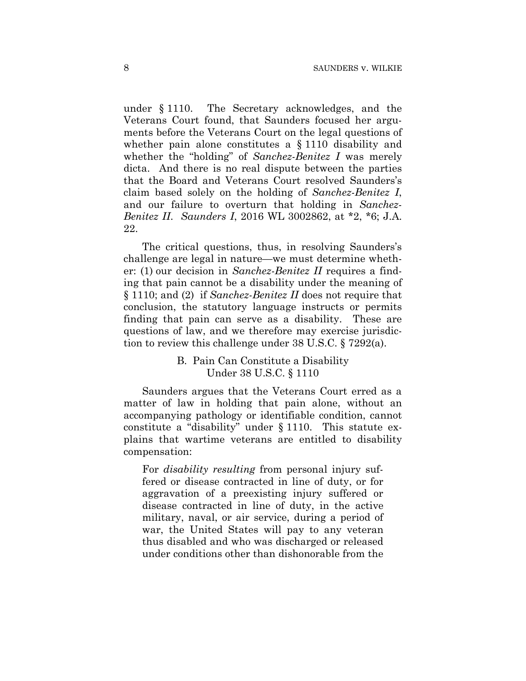under § 1110. The Secretary acknowledges, and the Veterans Court found, that Saunders focused her arguments before the Veterans Court on the legal questions of whether pain alone constitutes a § 1110 disability and whether the "holding" of *Sanchez-Benitez I* was merely dicta. And there is no real dispute between the parties that the Board and Veterans Court resolved Saunders's claim based solely on the holding of *Sanchez-Benitez I*, and our failure to overturn that holding in *Sanchez-Benitez II*. *Saunders I*, 2016 WL 3002862, at \*2, \*6; J.A. 22.

The critical questions, thus, in resolving Saunders's challenge are legal in nature—we must determine whether: (1) our decision in *Sanchez-Benitez II* requires a finding that pain cannot be a disability under the meaning of § 1110; and (2) if *Sanchez-Benitez II* does not require that conclusion, the statutory language instructs or permits finding that pain can serve as a disability. These are questions of law, and we therefore may exercise jurisdiction to review this challenge under 38 U.S.C. § 7292(a).

> B. Pain Can Constitute a Disability Under 38 U.S.C. § 1110

Saunders argues that the Veterans Court erred as a matter of law in holding that pain alone, without an accompanying pathology or identifiable condition, cannot constitute a "disability" under § 1110. This statute explains that wartime veterans are entitled to disability compensation:

For *disability resulting* from personal injury suffered or disease contracted in line of duty, or for aggravation of a preexisting injury suffered or disease contracted in line of duty, in the active military, naval, or air service, during a period of war, the United States will pay to any veteran thus disabled and who was discharged or released under conditions other than dishonorable from the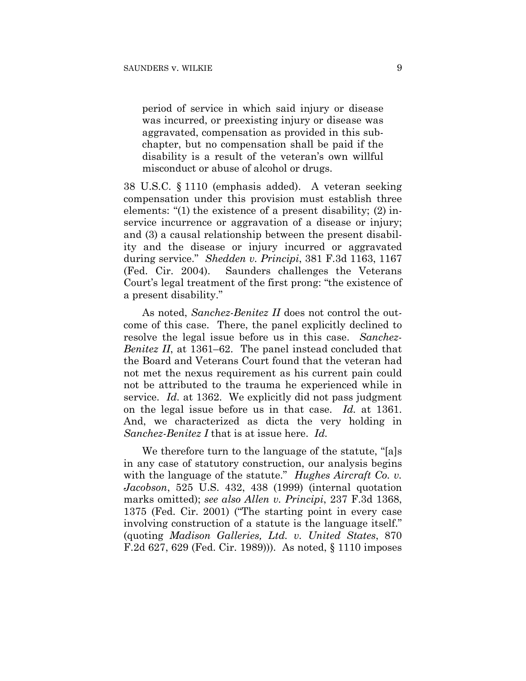period of service in which said injury or disease was incurred, or preexisting injury or disease was aggravated, compensation as provided in this subchapter, but no compensation shall be paid if the disability is a result of the veteran's own willful misconduct or abuse of alcohol or drugs.

38 U.S.C. § 1110 (emphasis added). A veteran seeking compensation under this provision must establish three elements: "(1) the existence of a present disability; (2) inservice incurrence or aggravation of a disease or injury; and (3) a causal relationship between the present disability and the disease or injury incurred or aggravated during service." *Shedden v. Principi*, 381 F.3d 1163, 1167 (Fed. Cir. 2004). Saunders challenges the Veterans Court's legal treatment of the first prong: "the existence of a present disability."

As noted, *Sanchez-Benitez II* does not control the outcome of this case. There, the panel explicitly declined to resolve the legal issue before us in this case. *Sanchez-Benitez II*, at 1361–62. The panel instead concluded that the Board and Veterans Court found that the veteran had not met the nexus requirement as his current pain could not be attributed to the trauma he experienced while in service. *Id.* at 1362. We explicitly did not pass judgment on the legal issue before us in that case. *Id.* at 1361. And, we characterized as dicta the very holding in *Sanchez-Benitez I* that is at issue here. *Id.*

We therefore turn to the language of the statute, "[a]s in any case of statutory construction, our analysis begins with the language of the statute." *Hughes Aircraft Co. v. Jacobson*, 525 U.S. 432, 438 (1999) (internal quotation marks omitted); *see also Allen v. Principi*, 237 F.3d 1368, 1375 (Fed. Cir. 2001) ("The starting point in every case involving construction of a statute is the language itself." (quoting *Madison Galleries, Ltd. v. United States*, 870 F.2d 627, 629 (Fed. Cir. 1989))). As noted, § 1110 imposes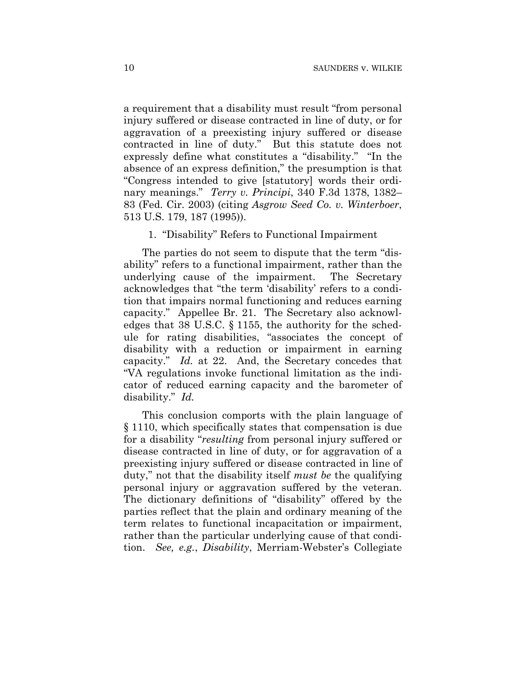a requirement that a disability must result "from personal injury suffered or disease contracted in line of duty, or for aggravation of a preexisting injury suffered or disease contracted in line of duty." But this statute does not expressly define what constitutes a "disability." "In the absence of an express definition," the presumption is that "Congress intended to give [statutory] words their ordinary meanings." *Terry v. Principi*, 340 F.3d 1378, 1382– 83 (Fed. Cir. 2003) (citing *Asgrow Seed Co. v. Winterboer*, 513 U.S. 179, 187 (1995)).

## 1. "Disability" Refers to Functional Impairment

The parties do not seem to dispute that the term "disability" refers to a functional impairment, rather than the underlying cause of the impairment. The Secretary acknowledges that "the term 'disability' refers to a condition that impairs normal functioning and reduces earning capacity." Appellee Br. 21. The Secretary also acknowledges that 38 U.S.C. § 1155, the authority for the schedule for rating disabilities, "associates the concept of disability with a reduction or impairment in earning capacity." *Id.* at 22. And, the Secretary concedes that "VA regulations invoke functional limitation as the indicator of reduced earning capacity and the barometer of disability." *Id.*

This conclusion comports with the plain language of § 1110, which specifically states that compensation is due for a disability "*resulting* from personal injury suffered or disease contracted in line of duty, or for aggravation of a preexisting injury suffered or disease contracted in line of duty," not that the disability itself *must be* the qualifying personal injury or aggravation suffered by the veteran. The dictionary definitions of "disability" offered by the parties reflect that the plain and ordinary meaning of the term relates to functional incapacitation or impairment, rather than the particular underlying cause of that condition. *See, e.g.*, *Disability*, Merriam-Webster's Collegiate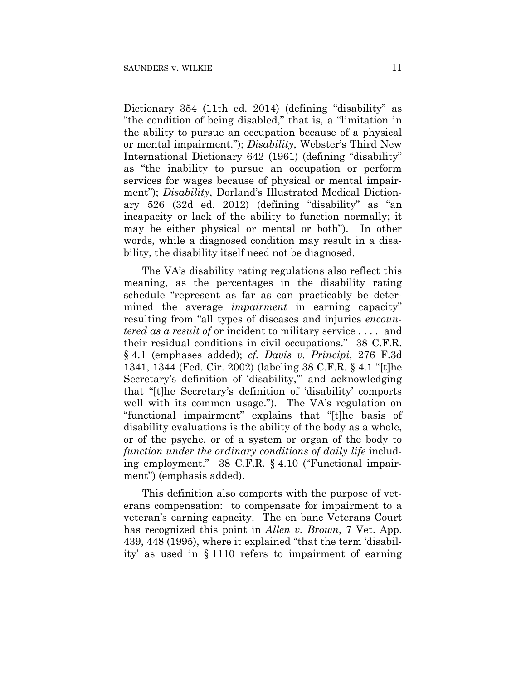Dictionary 354 (11th ed. 2014) (defining "disability" as "the condition of being disabled," that is, a "limitation in the ability to pursue an occupation because of a physical or mental impairment."); *Disability*, Webster's Third New International Dictionary 642 (1961) (defining "disability" as "the inability to pursue an occupation or perform services for wages because of physical or mental impairment"); *Disability*, Dorland's Illustrated Medical Dictionary 526 (32d ed. 2012) (defining "disability" as "an incapacity or lack of the ability to function normally; it may be either physical or mental or both"). In other words, while a diagnosed condition may result in a disability, the disability itself need not be diagnosed.

The VA's disability rating regulations also reflect this meaning, as the percentages in the disability rating schedule "represent as far as can practicably be determined the average *impairment* in earning capacity" resulting from "all types of diseases and injuries *encountered as a result of* or incident to military service . . . . and their residual conditions in civil occupations." 38 C.F.R. § 4.1 (emphases added); *cf. Davis v. Principi*, 276 F.3d 1341, 1344 (Fed. Cir. 2002) (labeling 38 C.F.R. § 4.1 "[t]he Secretary's definition of 'disability," and acknowledging that "[t]he Secretary's definition of 'disability' comports well with its common usage."). The VA's regulation on "functional impairment" explains that "[t]he basis of disability evaluations is the ability of the body as a whole, or of the psyche, or of a system or organ of the body to *function under the ordinary conditions of daily life* including employment." 38 C.F.R. § 4.10 ("Functional impairment") (emphasis added).

This definition also comports with the purpose of veterans compensation: to compensate for impairment to a veteran's earning capacity. The en banc Veterans Court has recognized this point in *Allen v. Brown*, 7 Vet. App. 439, 448 (1995), where it explained "that the term 'disability' as used in § 1110 refers to impairment of earning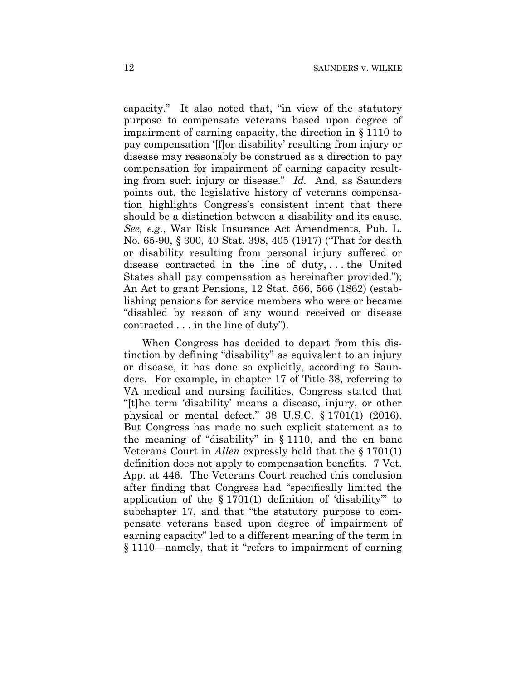capacity." It also noted that, "in view of the statutory purpose to compensate veterans based upon degree of impairment of earning capacity, the direction in § 1110 to pay compensation '[f]or disability' resulting from injury or disease may reasonably be construed as a direction to pay compensation for impairment of earning capacity resulting from such injury or disease." *Id.* And, as Saunders points out, the legislative history of veterans compensation highlights Congress's consistent intent that there should be a distinction between a disability and its cause. *See, e.g.*, War Risk Insurance Act Amendments, Pub. L. No. 65-90, § 300, 40 Stat. 398, 405 (1917) ("That for death or disability resulting from personal injury suffered or disease contracted in the line of duty, . . . the United States shall pay compensation as hereinafter provided."); An Act to grant Pensions, 12 Stat. 566, 566 (1862) (establishing pensions for service members who were or became "disabled by reason of any wound received or disease contracted . . . in the line of duty").

When Congress has decided to depart from this distinction by defining "disability" as equivalent to an injury or disease, it has done so explicitly, according to Saunders. For example, in chapter 17 of Title 38, referring to VA medical and nursing facilities, Congress stated that "[t]he term 'disability' means a disease, injury, or other physical or mental defect." 38 U.S.C. § 1701(1) (2016). But Congress has made no such explicit statement as to the meaning of "disability" in § 1110, and the en banc Veterans Court in *Allen* expressly held that the § 1701(1) definition does not apply to compensation benefits. 7 Vet. App. at 446. The Veterans Court reached this conclusion after finding that Congress had "specifically limited the application of the  $\S 1701(1)$  definition of 'disability'' to subchapter 17, and that "the statutory purpose to compensate veterans based upon degree of impairment of earning capacity" led to a different meaning of the term in § 1110—namely, that it "refers to impairment of earning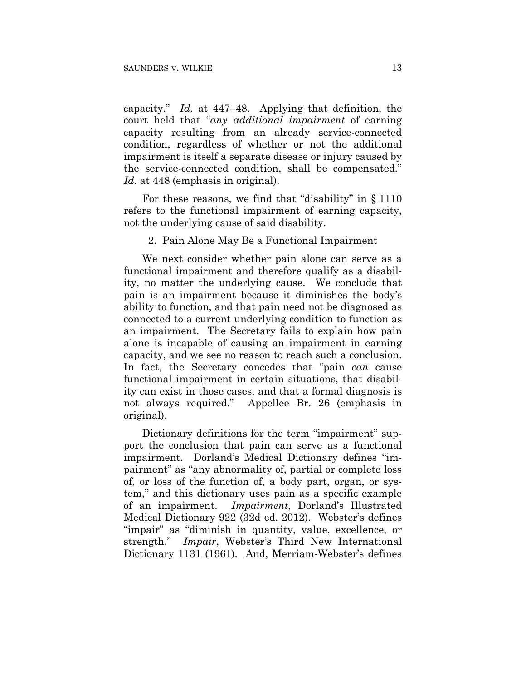capacity." *Id.* at 447–48. Applying that definition, the court held that "*any additional impairment* of earning capacity resulting from an already service-connected condition, regardless of whether or not the additional impairment is itself a separate disease or injury caused by the service-connected condition, shall be compensated." Id. at 448 (emphasis in original).

For these reasons, we find that "disability" in § 1110 refers to the functional impairment of earning capacity, not the underlying cause of said disability.

2. Pain Alone May Be a Functional Impairment

We next consider whether pain alone can serve as a functional impairment and therefore qualify as a disability, no matter the underlying cause. We conclude that pain is an impairment because it diminishes the body's ability to function, and that pain need not be diagnosed as connected to a current underlying condition to function as an impairment. The Secretary fails to explain how pain alone is incapable of causing an impairment in earning capacity, and we see no reason to reach such a conclusion. In fact, the Secretary concedes that "pain *can* cause functional impairment in certain situations, that disability can exist in those cases, and that a formal diagnosis is not always required." Appellee Br. 26 (emphasis in original).

Dictionary definitions for the term "impairment" support the conclusion that pain can serve as a functional impairment. Dorland's Medical Dictionary defines "impairment" as "any abnormality of, partial or complete loss of, or loss of the function of, a body part, organ, or system," and this dictionary uses pain as a specific example of an impairment. *Impairment*, Dorland's Illustrated Medical Dictionary 922 (32d ed. 2012). Webster's defines "impair" as "diminish in quantity, value, excellence, or strength." *Impair*, Webster's Third New International Dictionary 1131 (1961). And, Merriam-Webster's defines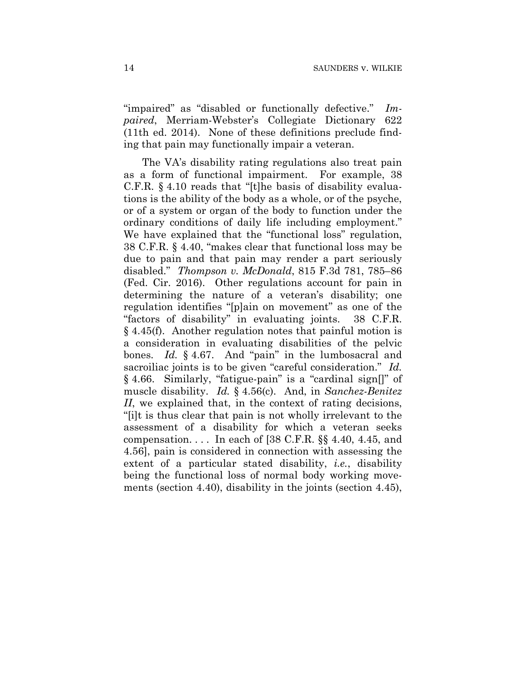"impaired" as "disabled or functionally defective." *Impaired*, Merriam-Webster's Collegiate Dictionary 622 (11th ed. 2014). None of these definitions preclude finding that pain may functionally impair a veteran.

The VA's disability rating regulations also treat pain as a form of functional impairment. For example, 38 C.F.R. § 4.10 reads that "[t]he basis of disability evaluations is the ability of the body as a whole, or of the psyche, or of a system or organ of the body to function under the ordinary conditions of daily life including employment." We have explained that the "functional loss" regulation, 38 C.F.R. § 4.40, "makes clear that functional loss may be due to pain and that pain may render a part seriously disabled." *Thompson v. McDonald*, 815 F.3d 781, 785–86 (Fed. Cir. 2016). Other regulations account for pain in determining the nature of a veteran's disability; one regulation identifies "[p]ain on movement" as one of the "factors of disability" in evaluating joints. 38 C.F.R. § 4.45(f). Another regulation notes that painful motion is a consideration in evaluating disabilities of the pelvic bones. *Id.* § 4.67. And "pain" in the lumbosacral and sacroiliac joints is to be given "careful consideration." *Id.*  § 4.66. Similarly, "fatigue-pain" is a "cardinal sign[]" of muscle disability. *Id.* § 4.56(c). And, in *Sanchez-Benitez II*, we explained that, in the context of rating decisions, "[i]t is thus clear that pain is not wholly irrelevant to the assessment of a disability for which a veteran seeks compensation.... In each of  $[38 \text{ C.F.R.}$  §§ 4.40, 4.45, and 4.56], pain is considered in connection with assessing the extent of a particular stated disability, *i.e.*, disability being the functional loss of normal body working movements (section 4.40), disability in the joints (section 4.45),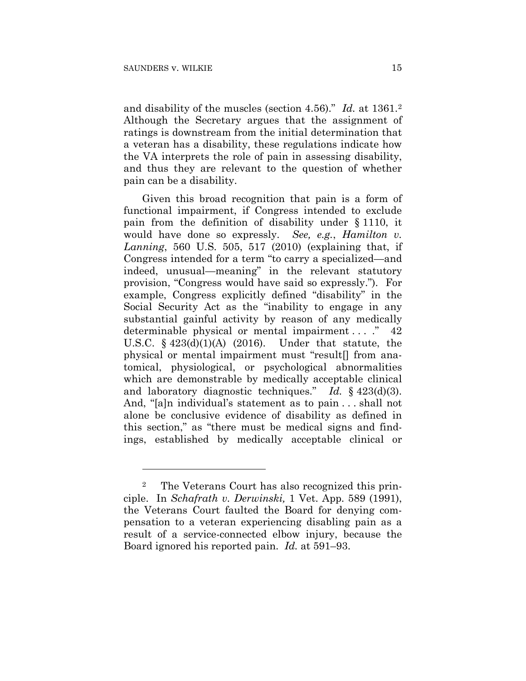<u>.</u>

and disability of the muscles (section 4.56)." *Id.* at 1361.2 Although the Secretary argues that the assignment of ratings is downstream from the initial determination that a veteran has a disability, these regulations indicate how the VA interprets the role of pain in assessing disability, and thus they are relevant to the question of whether pain can be a disability.

Given this broad recognition that pain is a form of functional impairment, if Congress intended to exclude pain from the definition of disability under § 1110, it would have done so expressly. *See, e.g.*, *Hamilton v. Lanning*, 560 U.S. 505, 517 (2010) (explaining that, if Congress intended for a term "to carry a specialized—and indeed, unusual—meaning" in the relevant statutory provision, "Congress would have said so expressly."). For example, Congress explicitly defined "disability" in the Social Security Act as the "inability to engage in any substantial gainful activity by reason of any medically determinable physical or mental impairment ... ." 42 U.S.C.  $\S$  423(d)(1)(A) (2016). Under that statute, the physical or mental impairment must "result[] from anatomical, physiological, or psychological abnormalities which are demonstrable by medically acceptable clinical and laboratory diagnostic techniques." *Id.* § 423(d)(3). And, "[a]n individual's statement as to pain . . . shall not alone be conclusive evidence of disability as defined in this section," as "there must be medical signs and findings, established by medically acceptable clinical or

<sup>2</sup> The Veterans Court has also recognized this principle. In *Schafrath v. Derwinski,* 1 Vet. App. 589 (1991), the Veterans Court faulted the Board for denying compensation to a veteran experiencing disabling pain as a result of a service-connected elbow injury, because the Board ignored his reported pain. *Id.* at 591–93.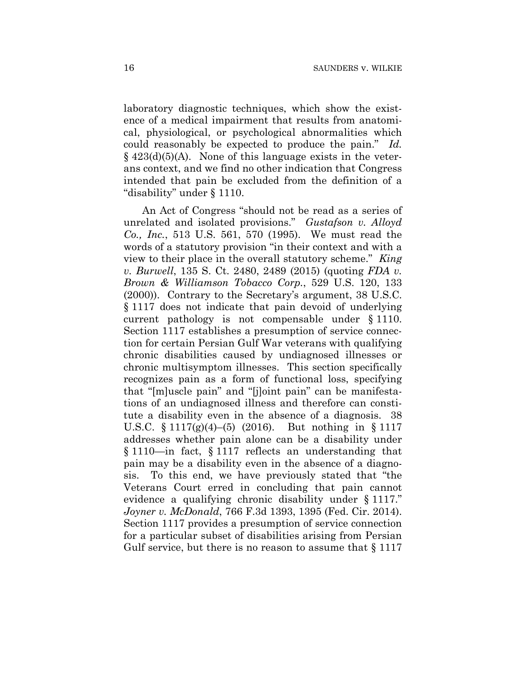laboratory diagnostic techniques, which show the existence of a medical impairment that results from anatomical, physiological, or psychological abnormalities which could reasonably be expected to produce the pain." *Id.*   $§$  423(d)(5)(A). None of this language exists in the veterans context, and we find no other indication that Congress intended that pain be excluded from the definition of a "disability" under § 1110.

An Act of Congress "should not be read as a series of unrelated and isolated provisions." *Gustafson v. Alloyd Co., Inc.*, 513 U.S. 561, 570 (1995). We must read the words of a statutory provision "in their context and with a view to their place in the overall statutory scheme." *King v. Burwell*, 135 S. Ct. 2480, 2489 (2015) (quoting *FDA v. Brown & Williamson Tobacco Corp.*, 529 U.S. 120, 133 (2000)). Contrary to the Secretary's argument, 38 U.S.C. § 1117 does not indicate that pain devoid of underlying current pathology is not compensable under § 1110. Section 1117 establishes a presumption of service connection for certain Persian Gulf War veterans with qualifying chronic disabilities caused by undiagnosed illnesses or chronic multisymptom illnesses. This section specifically recognizes pain as a form of functional loss, specifying that "[m]uscle pain" and "[j]oint pain" can be manifestations of an undiagnosed illness and therefore can constitute a disability even in the absence of a diagnosis. 38 U.S.C. § 1117(g)(4)–(5) (2016). But nothing in § 1117 addresses whether pain alone can be a disability under § 1110—in fact, § 1117 reflects an understanding that pain may be a disability even in the absence of a diagnosis. To this end, we have previously stated that "the Veterans Court erred in concluding that pain cannot evidence a qualifying chronic disability under § 1117." *Joyner v. McDonald*, 766 F.3d 1393, 1395 (Fed. Cir. 2014). Section 1117 provides a presumption of service connection for a particular subset of disabilities arising from Persian Gulf service, but there is no reason to assume that  $\S 1117$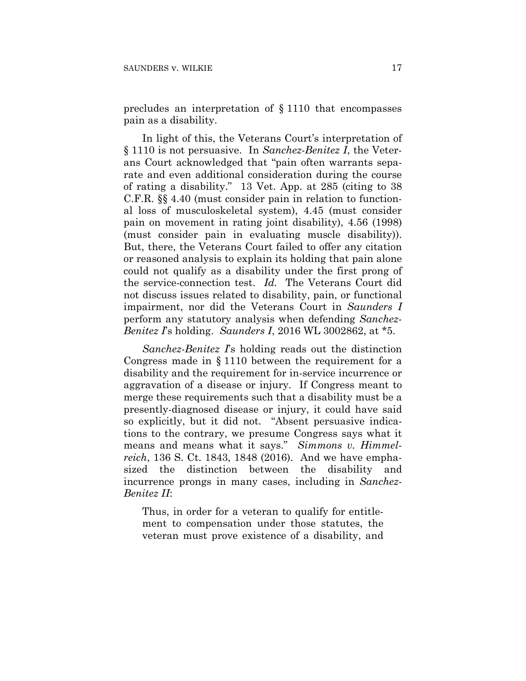precludes an interpretation of § 1110 that encompasses pain as a disability.

In light of this, the Veterans Court's interpretation of § 1110 is not persuasive. In *Sanchez-Benitez I*, the Veterans Court acknowledged that "pain often warrants separate and even additional consideration during the course of rating a disability." 13 Vet. App. at 285 (citing to 38 C.F.R. §§ 4.40 (must consider pain in relation to functional loss of musculoskeletal system), 4.45 (must consider pain on movement in rating joint disability), 4.56 (1998) (must consider pain in evaluating muscle disability)). But, there, the Veterans Court failed to offer any citation or reasoned analysis to explain its holding that pain alone could not qualify as a disability under the first prong of the service-connection test. *Id.* The Veterans Court did not discuss issues related to disability, pain, or functional impairment, nor did the Veterans Court in *Saunders I*  perform any statutory analysis when defending *Sanchez-Benitez I*'s holding. *Saunders I*, 2016 WL 3002862, at \*5.

*Sanchez-Benitez I*'s holding reads out the distinction Congress made in § 1110 between the requirement for a disability and the requirement for in-service incurrence or aggravation of a disease or injury. If Congress meant to merge these requirements such that a disability must be a presently-diagnosed disease or injury, it could have said so explicitly, but it did not. "Absent persuasive indications to the contrary, we presume Congress says what it means and means what it says." *Simmons v. Himmelreich*, 136 S. Ct. 1843, 1848 (2016). And we have emphasized the distinction between the disability and incurrence prongs in many cases, including in *Sanchez-Benitez II*:

Thus, in order for a veteran to qualify for entitlement to compensation under those statutes, the veteran must prove existence of a disability, and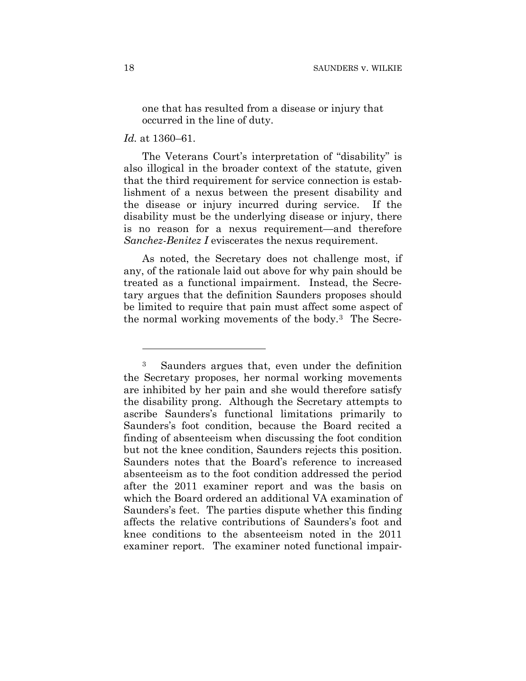one that has resulted from a disease or injury that occurred in the line of duty.

#### *Id.* at 1360–61.

1

The Veterans Court's interpretation of "disability" is also illogical in the broader context of the statute, given that the third requirement for service connection is establishment of a nexus between the present disability and the disease or injury incurred during service. If the disability must be the underlying disease or injury, there is no reason for a nexus requirement—and therefore *Sanchez-Benitez I* eviscerates the nexus requirement.

As noted, the Secretary does not challenge most, if any, of the rationale laid out above for why pain should be treated as a functional impairment. Instead, the Secretary argues that the definition Saunders proposes should be limited to require that pain must affect some aspect of the normal working movements of the body.3 The Secre-

<sup>3</sup> Saunders argues that, even under the definition the Secretary proposes, her normal working movements are inhibited by her pain and she would therefore satisfy the disability prong. Although the Secretary attempts to ascribe Saunders's functional limitations primarily to Saunders's foot condition, because the Board recited a finding of absenteeism when discussing the foot condition but not the knee condition, Saunders rejects this position. Saunders notes that the Board's reference to increased absenteeism as to the foot condition addressed the period after the 2011 examiner report and was the basis on which the Board ordered an additional VA examination of Saunders's feet. The parties dispute whether this finding affects the relative contributions of Saunders's foot and knee conditions to the absenteeism noted in the 2011 examiner report. The examiner noted functional impair-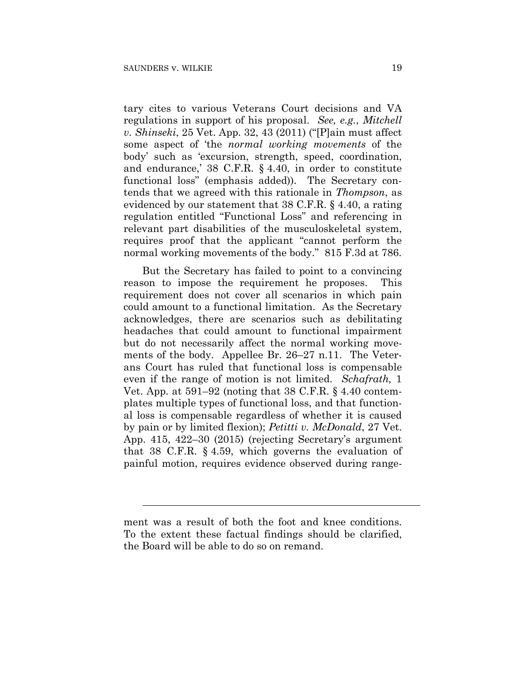$\overline{a}$ 

tary cites to various Veterans Court decisions and VA regulations in support of his proposal. *See, e.g.*, *Mitchell v. Shinseki*, 25 Vet. App. 32, 43 (2011) ("[P]ain must affect some aspect of 'the *normal working movements* of the body' such as 'excursion, strength, speed, coordination, and endurance,' 38 C.F.R. § 4.40, in order to constitute functional loss" (emphasis added)). The Secretary contends that we agreed with this rationale in *Thompson*, as evidenced by our statement that 38 C.F.R. § 4.40, a rating regulation entitled "Functional Loss" and referencing in relevant part disabilities of the musculoskeletal system, requires proof that the applicant "cannot perform the normal working movements of the body." 815 F.3d at 786.

But the Secretary has failed to point to a convincing reason to impose the requirement he proposes. This requirement does not cover all scenarios in which pain could amount to a functional limitation. As the Secretary acknowledges, there are scenarios such as debilitating headaches that could amount to functional impairment but do not necessarily affect the normal working movements of the body. Appellee Br. 26–27 n.11. The Veterans Court has ruled that functional loss is compensable even if the range of motion is not limited. *Schafrath,* 1 Vet. App. at 591–92 (noting that 38 C.F.R. § 4.40 contemplates multiple types of functional loss, and that functional loss is compensable regardless of whether it is caused by pain or by limited flexion); *Petitti v. McDonald*, 27 Vet. App. 415, 422–30 (2015) (rejecting Secretary's argument that 38 C.F.R. § 4.59, which governs the evaluation of painful motion, requires evidence observed during range-

ment was a result of both the foot and knee conditions. To the extent these factual findings should be clarified, the Board will be able to do so on remand.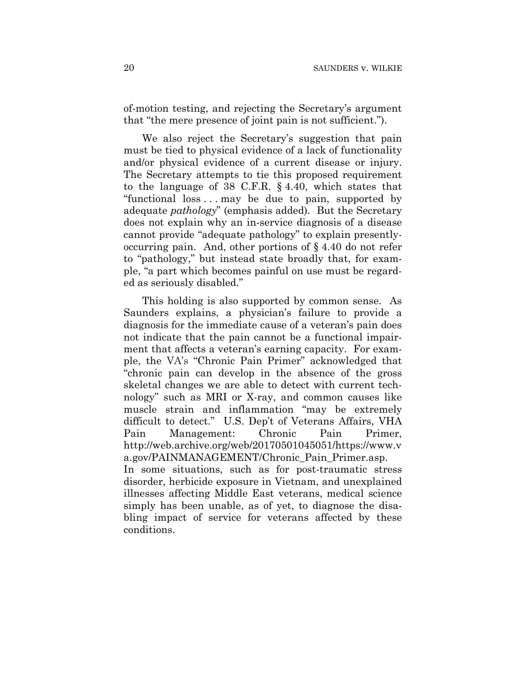of-motion testing, and rejecting the Secretary's argument that "the mere presence of joint pain is not sufficient.").

We also reject the Secretary's suggestion that pain must be tied to physical evidence of a lack of functionality and/or physical evidence of a current disease or injury. The Secretary attempts to tie this proposed requirement to the language of 38 C.F.R. § 4.40, which states that "functional loss . . . may be due to pain, supported by adequate *pathology*" (emphasis added). But the Secretary does not explain why an in-service diagnosis of a disease cannot provide "adequate pathology" to explain presentlyoccurring pain. And, other portions of § 4.40 do not refer to "pathology," but instead state broadly that, for example, "a part which becomes painful on use must be regarded as seriously disabled."

This holding is also supported by common sense. As Saunders explains, a physician's failure to provide a diagnosis for the immediate cause of a veteran's pain does not indicate that the pain cannot be a functional impairment that affects a veteran's earning capacity. For example, the VA's "Chronic Pain Primer" acknowledged that "chronic pain can develop in the absence of the gross skeletal changes we are able to detect with current technology" such as MRI or X-ray, and common causes like muscle strain and inflammation "may be extremely difficult to detect." U.S. Dep't of Veterans Affairs, VHA Pain Management: Chronic Pain Primer, http://web.archive.org/web/20170501045051/https://www.v a.gov/PAINMANAGEMENT/Chronic\_Pain\_Primer.asp. In some situations, such as for post-traumatic stress disorder, herbicide exposure in Vietnam, and unexplained illnesses affecting Middle East veterans, medical science simply has been unable, as of yet, to diagnose the disabling impact of service for veterans affected by these

conditions.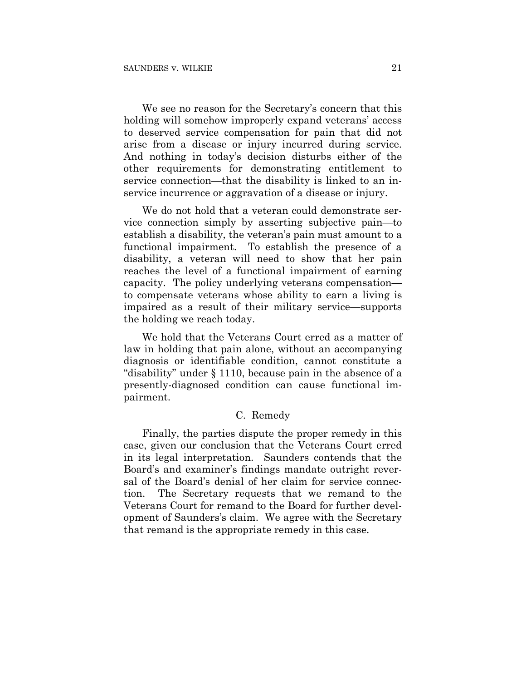We see no reason for the Secretary's concern that this holding will somehow improperly expand veterans' access to deserved service compensation for pain that did not arise from a disease or injury incurred during service. And nothing in today's decision disturbs either of the other requirements for demonstrating entitlement to service connection—that the disability is linked to an inservice incurrence or aggravation of a disease or injury.

We do not hold that a veteran could demonstrate service connection simply by asserting subjective pain—to establish a disability, the veteran's pain must amount to a functional impairment. To establish the presence of a disability, a veteran will need to show that her pain reaches the level of a functional impairment of earning capacity. The policy underlying veterans compensation to compensate veterans whose ability to earn a living is impaired as a result of their military service—supports the holding we reach today.

We hold that the Veterans Court erred as a matter of law in holding that pain alone, without an accompanying diagnosis or identifiable condition, cannot constitute a "disability" under § 1110, because pain in the absence of a presently-diagnosed condition can cause functional impairment.

#### C. Remedy

Finally, the parties dispute the proper remedy in this case, given our conclusion that the Veterans Court erred in its legal interpretation. Saunders contends that the Board's and examiner's findings mandate outright reversal of the Board's denial of her claim for service connection. The Secretary requests that we remand to the Veterans Court for remand to the Board for further development of Saunders's claim. We agree with the Secretary that remand is the appropriate remedy in this case.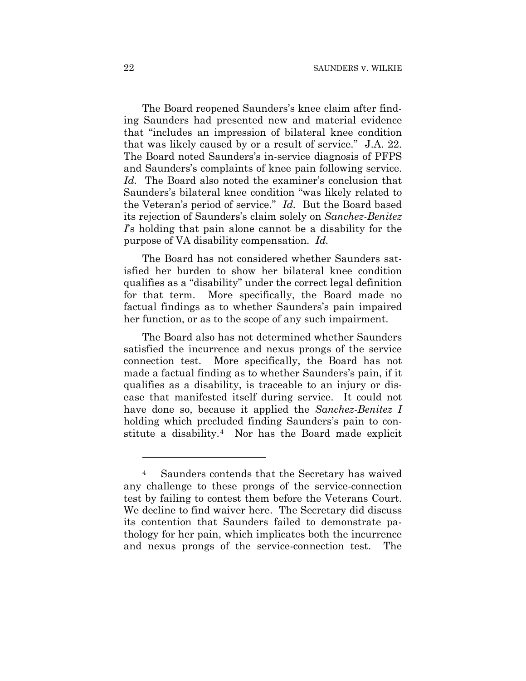The Board reopened Saunders's knee claim after finding Saunders had presented new and material evidence that "includes an impression of bilateral knee condition that was likely caused by or a result of service." J.A. 22. The Board noted Saunders's in-service diagnosis of PFPS and Saunders's complaints of knee pain following service. *Id.* The Board also noted the examiner's conclusion that Saunders's bilateral knee condition "was likely related to the Veteran's period of service." *Id.* But the Board based its rejection of Saunders's claim solely on *Sanchez-Benitez I*'s holding that pain alone cannot be a disability for the purpose of VA disability compensation. *Id.*

The Board has not considered whether Saunders satisfied her burden to show her bilateral knee condition qualifies as a "disability" under the correct legal definition for that term. More specifically, the Board made no factual findings as to whether Saunders's pain impaired her function, or as to the scope of any such impairment.

The Board also has not determined whether Saunders satisfied the incurrence and nexus prongs of the service connection test. More specifically, the Board has not made a factual finding as to whether Saunders's pain, if it qualifies as a disability, is traceable to an injury or disease that manifested itself during service. It could not have done so, because it applied the *Sanchez-Benitez I* holding which precluded finding Saunders's pain to constitute a disability.4 Nor has the Board made explicit

1

<sup>4</sup> Saunders contends that the Secretary has waived any challenge to these prongs of the service-connection test by failing to contest them before the Veterans Court. We decline to find waiver here. The Secretary did discuss its contention that Saunders failed to demonstrate pathology for her pain, which implicates both the incurrence and nexus prongs of the service-connection test. The